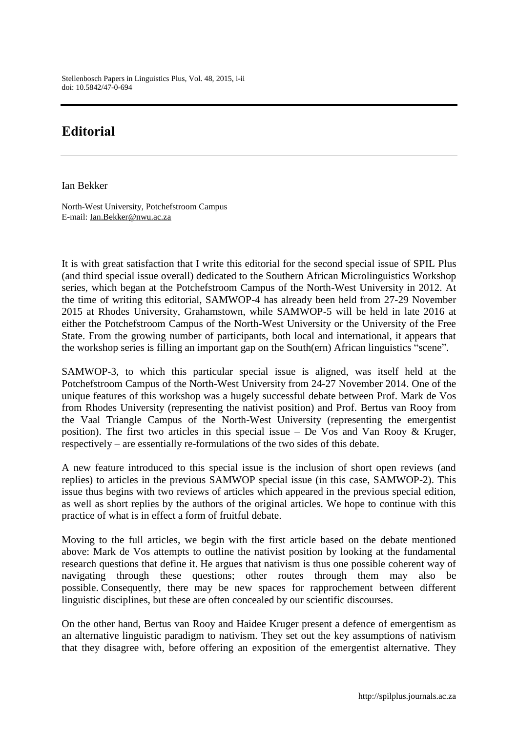Stellenbosch Papers in Linguistics Plus, Vol. 48, 2015, i-ii doi: 10.5842/47-0-694

## **Editorial**

Ian Bekker

North-West University, Potchefstroom Campus E-mail: Ian.Bekker@nwu.ac.za

It is with great satisfaction that I write this editorial for the second special issue of SPIL Plus (and third special issue overall) dedicated to the Southern African Microlinguistics Workshop series, which began at the Potchefstroom Campus of the North-West University in 2012. At the time of writing this editorial, SAMWOP-4 has already been held from 27-29 November 2015 at Rhodes University, Grahamstown, while SAMWOP-5 will be held in late 2016 at either the Potchefstroom Campus of the North-West University or the University of the Free State. From the growing number of participants, both local and international, it appears that the workshop series is filling an important gap on the South(ern) African linguistics "scene".

SAMWOP-3, to which this particular special issue is aligned, was itself held at the Potchefstroom Campus of the North-West University from 24-27 November 2014. One of the unique features of this workshop was a hugely successful debate between Prof. Mark de Vos from Rhodes University (representing the nativist position) and Prof. Bertus van Rooy from the Vaal Triangle Campus of the North-West University (representing the emergentist position). The first two articles in this special issue – De Vos and Van Rooy & Kruger, respectively – are essentially re-formulations of the two sides of this debate.

A new feature introduced to this special issue is the inclusion of short open reviews (and replies) to articles in the previous SAMWOP special issue (in this case, SAMWOP-2). This issue thus begins with two reviews of articles which appeared in the previous special edition, as well as short replies by the authors of the original articles. We hope to continue with this practice of what is in effect a form of fruitful debate.

Moving to the full articles, we begin with the first article based on the debate mentioned above: Mark de Vos attempts to outline the nativist position by looking at the fundamental research questions that define it. He argues that nativism is thus one possible coherent way of navigating through these questions; other routes through them may also be possible. Consequently, there may be new spaces for rapprochement between different linguistic disciplines, but these are often concealed by our scientific discourses.

On the other hand, Bertus van Rooy and Haidee Kruger present a defence of emergentism as an alternative linguistic paradigm to nativism. They set out the key assumptions of nativism that they disagree with, before offering an exposition of the emergentist alternative. They